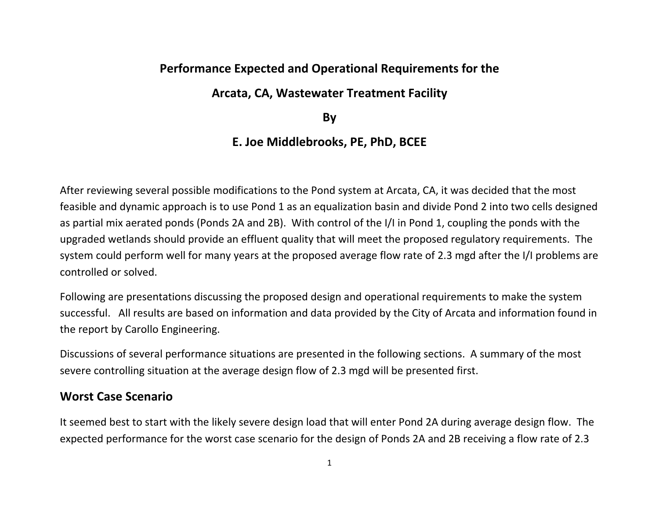## **Performance Expected and Operational Requirements for the**

### **Arcata, CA, Wastewater Treatment Facility**

**By** 

## **E. Joe Middlebrooks, PE, PhD, BCEE**

After reviewing several possible modifications to the Pond system at Arcata, CA, it was decided that the most feasible and dynamic approach is to use Pond 1 as an equalization basin and divide Pond 2 into two cells designed as partial mix aerated ponds (Ponds 2A and 2B). With control of the I/I in Pond 1, coupling the ponds with the upgraded wetlands should provide an effluent quality that will meet the proposed regulatory requirements. The system could perform well for many years at the proposed average flow rate of 2.3 mgd after the I/I problems are controlled or solved.

Following are presentations discussing the proposed design and operational requirements to make the system successful. All results are based on information and data provided by the City of Arcata and information found in the report by Carollo Engineering.

Discussions of several performance situations are presented in the following sections. A summary of the most severe controlling situation at the average design flow of 2.3 mgd will be presented first.

### **Worst Case Scenario**

It seemed best to start with the likely severe design load that will enter Pond 2A during average design flow. The expected performance for the worst case scenario for the design of Ponds 2A and 2B receiving a flow rate of 2.3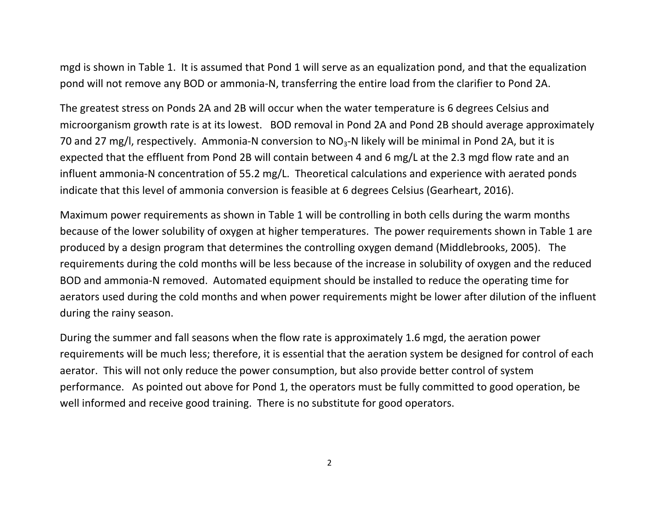mgd is shown in Table 1. It is assumed that Pond 1 will serve as an equalization pond, and that the equalization pond will not remove any BOD or ammonia-N, transferring the entire load from the clarifier to Pond 2A.

The greatest stress on Ponds 2A and 2B will occur when the water temperature is 6 degrees Celsius and microorganism growth rate is at its lowest. BOD removal in Pond 2A and Pond 2B should average approximately 70 and 27 mg/l, respectively. Ammonia-N conversion to  $NO<sub>3</sub>-N$  likely will be minimal in Pond 2A, but it is expected that the effluent from Pond 2B will contain between 4 and 6 mg/L at the 2.3 mgd flow rate and an influent ammonia-N concentration of 55.2 mg/L. Theoretical calculations and experience with aerated ponds indicate that this level of ammonia conversion is feasible at 6 degrees Celsius (Gearheart, 2016).

Maximum power requirements as shown in Table 1 will be controlling in both cells during the warm months because of the lower solubility of oxygen at higher temperatures. The power requirements shown in Table 1 are produced by a design program that determines the controlling oxygen demand (Middlebrooks, 2005). The requirements during the cold months will be less because of the increase in solubility of oxygen and the reduced BOD and ammonia-N removed. Automated equipment should be installed to reduce the operating time for aerators used during the cold months and when power requirements might be lower after dilution of the influent during the rainy season.

During the summer and fall seasons when the flow rate is approximately 1.6 mgd, the aeration power requirements will be much less; therefore, it is essential that the aeration system be designed for control of each aerator. This will not only reduce the power consumption, but also provide better control of system performance. As pointed out above for Pond 1, the operators must be fully committed to good operation, be well informed and receive good training. There is no substitute for good operators.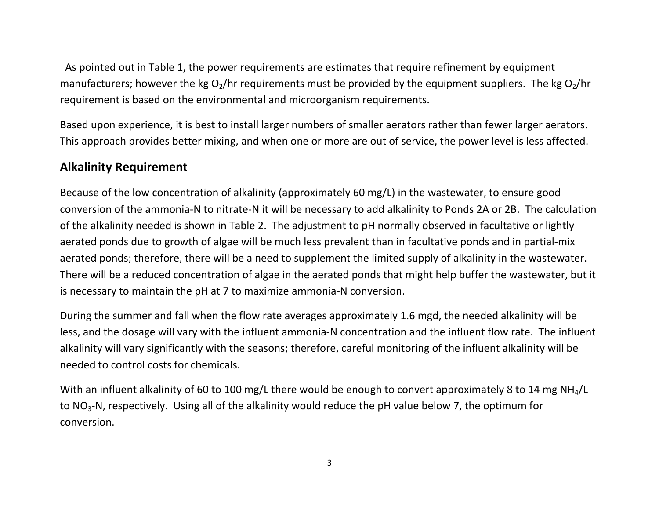As pointed out in Table 1, the power requirements are estimates that require refinement by equipment manufacturers; however the kg  $O_2/hr$  requirements must be provided by the equipment suppliers. The kg  $O_2/hr$ requirement is based on the environmental and microorganism requirements.

Based upon experience, it is best to install larger numbers of smaller aerators rather than fewer larger aerators. This approach provides better mixing, and when one or more are out of service, the power level is less affected.

## **Alkalinity Requirement**

Because of the low concentration of alkalinity (approximately 60 mg/L) in the wastewater, to ensure good conversion of the ammonia-N to nitrate-N it will be necessary to add alkalinity to Ponds 2A or 2B. The calculation of the alkalinity needed is shown in Table 2. The adjustment to pH normally observed in facultative or lightly aerated ponds due to growth of algae will be much less prevalent than in facultative ponds and in partial-mix aerated ponds; therefore, there will be a need to supplement the limited supply of alkalinity in the wastewater. There will be a reduced concentration of algae in the aerated ponds that might help buffer the wastewater, but it is necessary to maintain the pH at 7 to maximize ammonia-N conversion.

During the summer and fall when the flow rate averages approximately 1.6 mgd, the needed alkalinity will be less, and the dosage will vary with the influent ammonia-N concentration and the influent flow rate. The influent alkalinity will vary significantly with the seasons; therefore, careful monitoring of the influent alkalinity will be needed to control costs for chemicals.

With an influent alkalinity of 60 to 100 mg/L there would be enough to convert approximately 8 to 14 mg NH<sub>4</sub>/L to NO<sub>3</sub>-N, respectively. Using all of the alkalinity would reduce the pH value below 7, the optimum for conversion.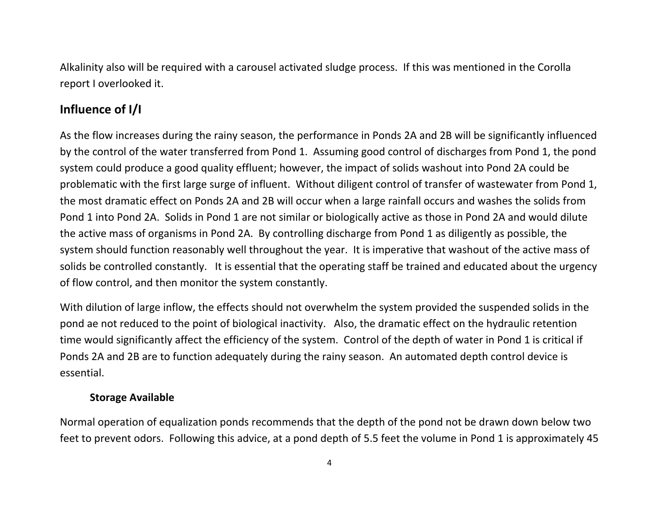Alkalinity also will be required with a carousel activated sludge process. If this was mentioned in the Corolla report I overlooked it.

## **Influence of I/I**

As the flow increases during the rainy season, the performance in Ponds 2A and 2B will be significantly influenced by the control of the water transferred from Pond 1. Assuming good control of discharges from Pond 1, the pond system could produce a good quality effluent; however, the impact of solids washout into Pond 2A could be problematic with the first large surge of influent. Without diligent control of transfer of wastewater from Pond 1, the most dramatic effect on Ponds 2A and 2B will occur when a large rainfall occurs and washes the solids from Pond 1 into Pond 2A. Solids in Pond 1 are not similar or biologically active as those in Pond 2A and would dilute the active mass of organisms in Pond 2A. By controlling discharge from Pond 1 as diligently as possible, the system should function reasonably well throughout the year. It is imperative that washout of the active mass of solids be controlled constantly. It is essential that the operating staff be trained and educated about the urgency of flow control, and then monitor the system constantly.

With dilution of large inflow, the effects should not overwhelm the system provided the suspended solids in the pond ae not reduced to the point of biological inactivity. Also, the dramatic effect on the hydraulic retention time would significantly affect the efficiency of the system. Control of the depth of water in Pond 1 is critical if Ponds 2A and 2B are to function adequately during the rainy season. An automated depth control device is essential.

#### **Storage Available**

Normal operation of equalization ponds recommends that the depth of the pond not be drawn down below two feet to prevent odors. Following this advice, at a pond depth of 5.5 feet the volume in Pond 1 is approximately 45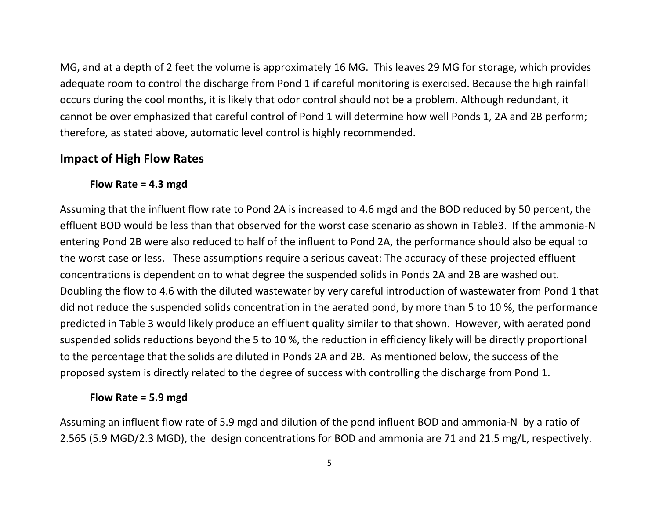MG, and at a depth of 2 feet the volume is approximately 16 MG. This leaves 29 MG for storage, which provides adequate room to control the discharge from Pond 1 if careful monitoring is exercised. Because the high rainfall occurs during the cool months, it is likely that odor control should not be a problem. Although redundant, it cannot be over emphasized that careful control of Pond 1 will determine how well Ponds 1, 2A and 2B perform; therefore, as stated above, automatic level control is highly recommended.

### **Impact of High Flow Rates**

### **Flow Rate = 4.3 mgd**

Assuming that the influent flow rate to Pond 2A is increased to 4.6 mgd and the BOD reduced by 50 percent, the effluent BOD would be less than that observed for the worst case scenario as shown in Table3. If the ammonia-N entering Pond 2B were also reduced to half of the influent to Pond 2A, the performance should also be equal to the worst case or less. These assumptions require a serious caveat: The accuracy of these projected effluent concentrations is dependent on to what degree the suspended solids in Ponds 2A and 2B are washed out. Doubling the flow to 4.6 with the diluted wastewater by very careful introduction of wastewater from Pond 1 that did not reduce the suspended solids concentration in the aerated pond, by more than 5 to 10 %, the performance predicted in Table 3 would likely produce an effluent quality similar to that shown. However, with aerated pond suspended solids reductions beyond the 5 to 10 %, the reduction in efficiency likely will be directly proportional to the percentage that the solids are diluted in Ponds 2A and 2B. As mentioned below, the success of the proposed system is directly related to the degree of success with controlling the discharge from Pond 1.

#### **Flow Rate = 5.9 mgd**

Assuming an influent flow rate of 5.9 mgd and dilution of the pond influent BOD and ammonia-N by a ratio of 2.565 (5.9 MGD/2.3 MGD), the design concentrations for BOD and ammonia are 71 and 21.5 mg/L, respectively.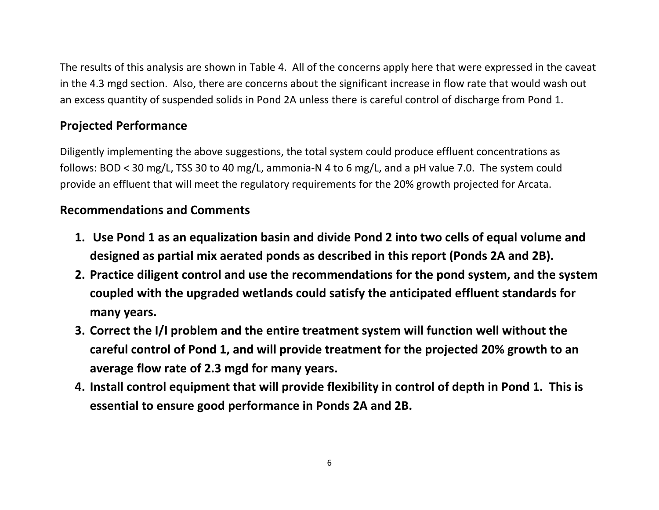The results of this analysis are shown in Table 4. All of the concerns apply here that were expressed in the caveat in the 4.3 mgd section. Also, there are concerns about the significant increase in flow rate that would wash out an excess quantity of suspended solids in Pond 2A unless there is careful control of discharge from Pond 1.

## **Projected Performance**

Diligently implementing the above suggestions, the total system could produce effluent concentrations as follows: BOD < 30 mg/L, TSS 30 to 40 mg/L, ammonia-N 4 to 6 mg/L, and a pH value 7.0. The system could provide an effluent that will meet the regulatory requirements for the 20% growth projected for Arcata.

## **Recommendations and Comments**

- **1. Use Pond 1 as an equalization basin and divide Pond 2 into two cells of equal volume and designed as partial mix aerated ponds as described in this report (Ponds 2A and 2B).**
- **2. Practice diligent control and use the recommendations for the pond system, and the system coupled with the upgraded wetlands could satisfy the anticipated effluent standards for many years.**
- **3. Correct the I/I problem and the entire treatment system will function well without the careful control of Pond 1, and will provide treatment for the projected 20% growth to an average flow rate of 2.3 mgd for many years.**
- **4. Install control equipment that will provide flexibility in control of depth in Pond 1. This is essential to ensure good performance in Ponds 2A and 2B.**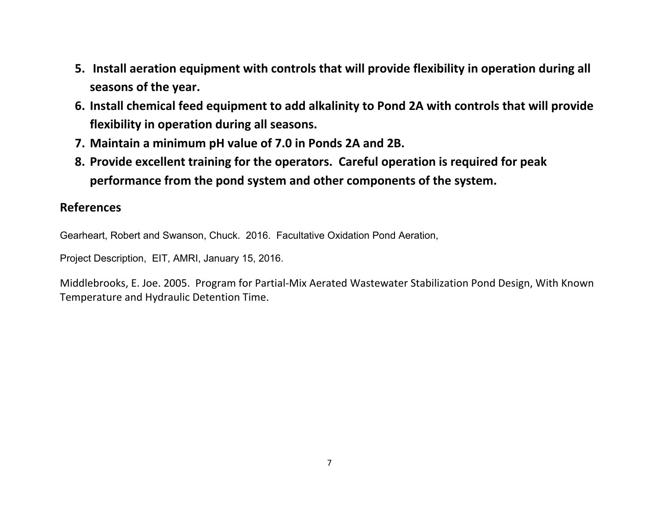- **5. Install aeration equipment with controls that will provide flexibility in operation during all seasons of the year.**
- **6. Install chemical feed equipment to add alkalinity to Pond 2A with controls that will provide flexibility in operation during all seasons.**
- **7. Maintain a minimum pH value of 7.0 in Ponds 2A and 2B.**
- **8. Provide excellent training for the operators. Careful operation is required for peak performance from the pond system and other components of the system.**

### **References**

Gearheart, Robert and Swanson, Chuck. 2016. Facultative Oxidation Pond Aeration,

Project Description, EIT, AMRI, January 15, 2016.

Middlebrooks, E. Joe. 2005. Program for Partial-Mix Aerated Wastewater Stabilization Pond Design, With Known Temperature and Hydraulic Detention Time.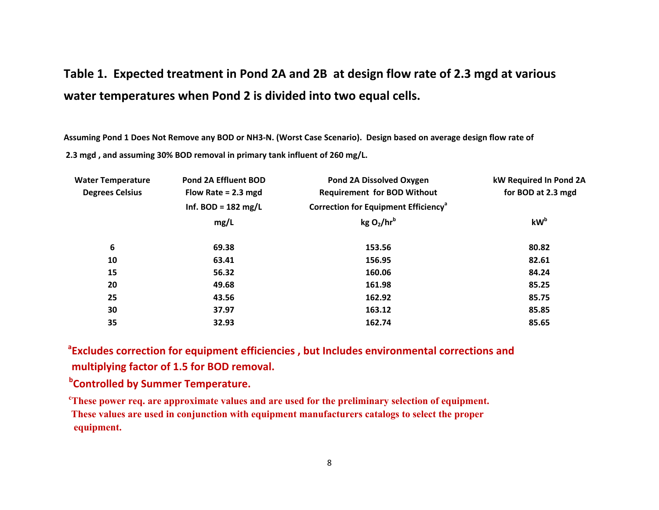# **Table 1. Expected treatment in Pond 2A and 2B at design flow rate of 2.3 mgd at various water temperatures when Pond 2 is divided into two equal cells.**

**Assuming Pond 1 Does Not Remove any BOD or NH3-N. (Worst Case Scenario). Design based on average design flow rate of 2.3 mgd , and assuming 30% BOD removal in primary tank influent of 260 mg/L.** 

| <b>Water Temperature</b> | <b>Pond 2A Effluent BOD</b>   | Pond 2A Dissolved Oxygen                         | kW Required In Pond 2A |  |
|--------------------------|-------------------------------|--------------------------------------------------|------------------------|--|
| <b>Degrees Celsius</b>   | Flow Rate = $2.3$ mgd         | <b>Requirement for BOD Without</b>               | for BOD at 2.3 mgd     |  |
|                          | Inf. BOD = $182 \text{ mg/L}$ | Correction for Equipment Efficiency <sup>a</sup> |                        |  |
|                          | mg/L                          | kgO <sub>2</sub> /hr <sup>b</sup>                | kW <sup>b</sup>        |  |
| 6                        | 69.38                         | 153.56                                           | 80.82                  |  |
| 10                       | 63.41                         | 156.95                                           | 82.61                  |  |
| 15                       | 56.32                         | 160.06                                           | 84.24                  |  |
| 20                       | 49.68                         | 161.98                                           | 85.25                  |  |
| 25                       | 43.56                         | 162.92                                           | 85.75                  |  |
| 30                       | 37.97                         | 163.12                                           | 85.85                  |  |
| 35                       | 32.93                         | 162.74                                           | 85.65                  |  |

<sup>a</sup>Excludes correction for equipment efficiencies, but Includes environmental corrections and  **multiplying factor of 1.5 for BOD removal.** 

**b**Controlled by Summer Temperature.

**cThese power req. are approximate values and are used for the preliminary selection of equipment. These values are used in conjunction with equipment manufacturers catalogs to select the proper equipment.**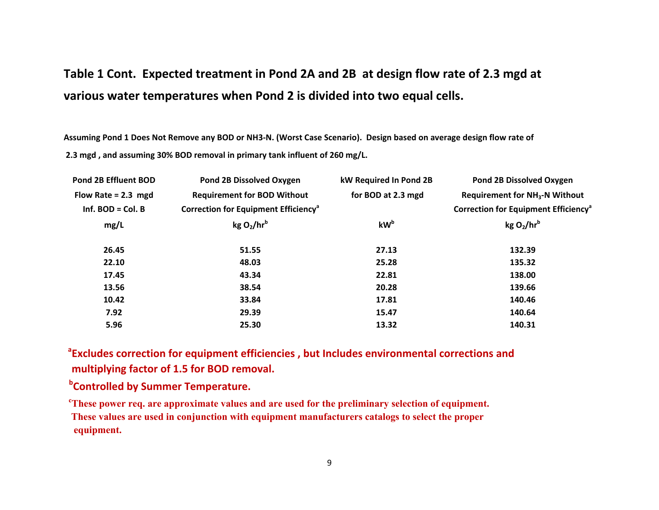# **Table 1 Cont. Expected treatment in Pond 2A and 2B at design flow rate of 2.3 mgd at various water temperatures when Pond 2 is divided into two equal cells.**

**Assuming Pond 1 Does Not Remove any BOD or NH3-N. (Worst Case Scenario). Design based on average design flow rate of 2.3 mgd , and assuming 30% BOD removal in primary tank influent of 260 mg/L.** 

| Pond 2B Effluent BOD  | <b>Pond 2B Dissolved Oxygen</b>                  | kW Required In Pond 2B | <b>Pond 2B Dissolved Oxygen</b>                        |
|-----------------------|--------------------------------------------------|------------------------|--------------------------------------------------------|
| Flow Rate = $2.3$ mgd | <b>Requirement for BOD Without</b>               | for BOD at 2.3 mgd     | <b>Requirement for NH<sub>3</sub>-N Without</b>        |
| Inf. $BOD = Col. B$   | Correction for Equipment Efficiency <sup>a</sup> |                        | <b>Correction for Equipment Efficiency<sup>a</sup></b> |
| mg/L                  | kg O <sub>2</sub> /hr <sup>b</sup>               | kW <sup>b</sup>        | kgO <sub>2</sub> /hr <sup>b</sup>                      |
| 26.45                 | 51.55                                            | 27.13                  | 132.39                                                 |
| 22.10                 | 48.03                                            | 25.28                  | 135.32                                                 |
| 17.45                 | 43.34                                            | 22.81                  | 138.00                                                 |
| 13.56                 | 38.54                                            | 20.28                  | 139.66                                                 |
| 10.42                 | 33.84                                            | 17.81                  | 140.46                                                 |
| 7.92                  | 29.39                                            | 15.47                  | 140.64                                                 |
| 5.96                  | 25.30                                            | 13.32                  | 140.31                                                 |

<sup>a</sup>Excludes correction for equipment efficiencies, but Includes environmental corrections and  **multiplying factor of 1.5 for BOD removal.** 

**b**Controlled by Summer Temperature.

**cThese power req. are approximate values and are used for the preliminary selection of equipment. These values are used in conjunction with equipment manufacturers catalogs to select the proper equipment.**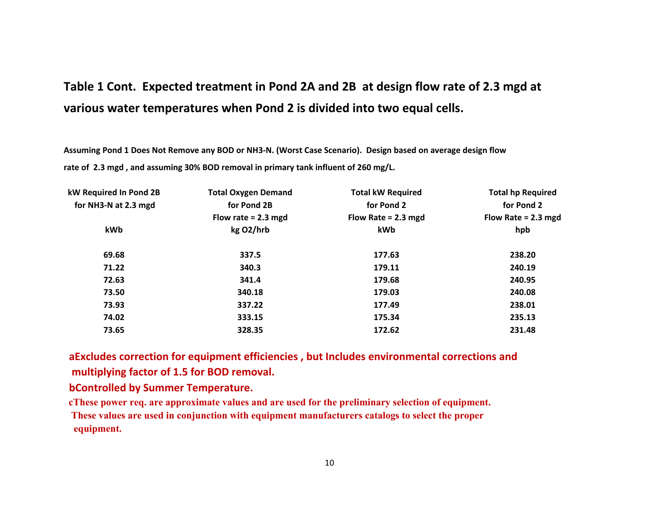# **Table 1 Cont. Expected treatment in Pond 2A and 2B at design flow rate of 2.3 mgd at various water temperatures when Pond 2 is divided into two equal cells.**

**Assuming Pond 1 Does Not Remove any BOD or NH3-N. (Worst Case Scenario). Design based on average design flow rate of 2.3 mgd , and assuming 30% BOD removal in primary tank influent of 260 mg/L.** 

| kW Required In Pond 2B | <b>Total Oxygen Demand</b> | <b>Total kW Required</b> | <b>Total hp Required</b><br>for Pond 2 |  |
|------------------------|----------------------------|--------------------------|----------------------------------------|--|
| for NH3-N at 2.3 mgd   | for Pond 2B                | for Pond 2               |                                        |  |
|                        | Flow rate = $2.3$ mgd      | Flow Rate = $2.3$ mgd    | Flow Rate = $2.3$ mgd                  |  |
| kWb                    | kg O2/hrb                  | kWb                      | hpb                                    |  |
| 69.68                  | 337.5                      | 177.63                   | 238.20                                 |  |
| 71.22                  | 340.3                      | 179.11                   | 240.19                                 |  |
| 72.63                  | 341.4                      | 179.68                   | 240.95                                 |  |
| 73.50                  | 340.18                     | 179.03                   | 240.08                                 |  |
| 73.93                  | 337.22                     | 177.49                   | 238.01                                 |  |
| 74.02                  | 333.15                     | 175.34                   | 235.13                                 |  |
| 73.65                  | 328.35                     | 172.62                   | 231.48                                 |  |
|                        |                            |                          |                                        |  |

 **aExcludes correction for equipment efficiencies , but Includes environmental corrections and multiplying factor of 1.5 for BOD removal.** 

 **bControlled by Summer Temperature.** 

 **cThese power req. are approximate values and are used for the preliminary selection of equipment. These values are used in conjunction with equipment manufacturers catalogs to select the proper equipment.**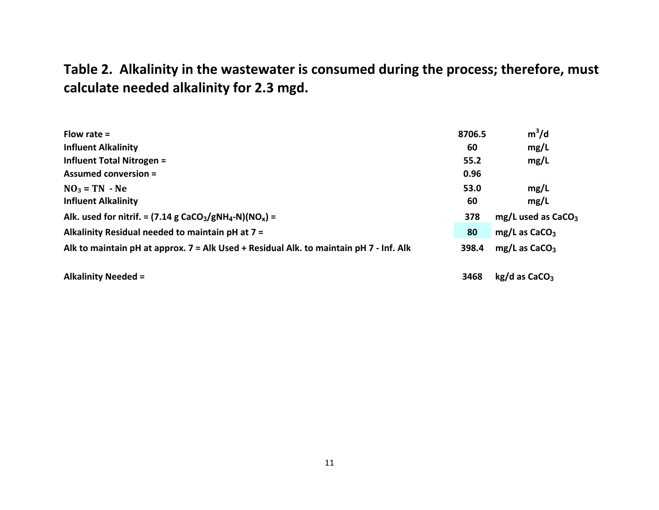# **Table 2. Alkalinity in the wastewater is consumed during the process; therefore, must calculate needed alkalinity for 2.3 mgd.**

| Flow rate $=$                                                                                  | 8706.5 | $m^3/d$                          |
|------------------------------------------------------------------------------------------------|--------|----------------------------------|
| <b>Influent Alkalinity</b>                                                                     | 60     | mg/L                             |
| <b>Influent Total Nitrogen =</b>                                                               | 55.2   | mg/L                             |
| <b>Assumed conversion =</b>                                                                    | 0.96   |                                  |
| $NO3 = TN - Ne$                                                                                | 53.0   | mg/L                             |
| <b>Influent Alkalinity</b>                                                                     | 60     | mg/L                             |
| Alk. used for nitrif. = $(7.14 \text{ g } \text{CaCO}_3/\text{gNH}_4\text{-N})(N\text{O}_x)$ = | 378    | $mg/L$ used as CaCO <sub>3</sub> |
| Alkalinity Residual needed to maintain pH at 7 =                                               | 80     | $mg/L$ as CaCO <sub>3</sub>      |
| Alk to maintain pH at approx. 7 = Alk Used + Residual Alk. to maintain pH 7 - Inf. Alk         | 398.4  | $mg/L$ as CaCO <sub>3</sub>      |
|                                                                                                |        |                                  |

**Alkalinity Needed = 3468 kg/d as CaCO3**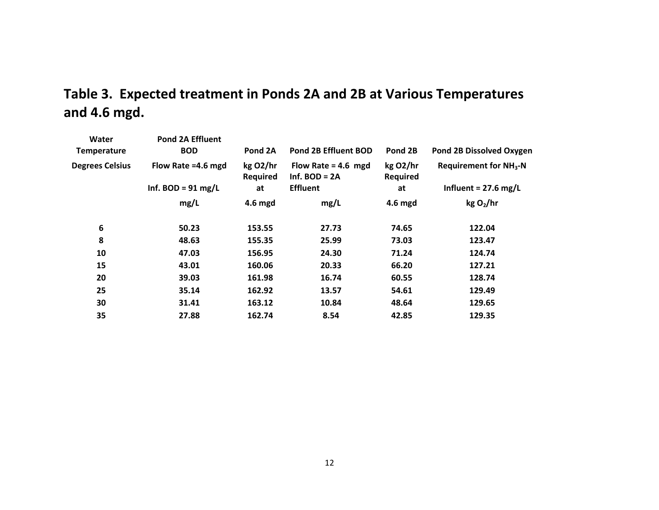# **Table 3. Expected treatment in Ponds 2A and 2B at Various Temperatures and 4.6 mgd.**

| Water<br><b>Temperature</b> | <b>Pond 2A Effluent</b><br><b>BOD</b> | Pond 2A                     | <b>Pond 2B Effluent BOD</b>              | Pond 2B              | <b>Pond 2B Dissolved Oxygen</b>         |
|-----------------------------|---------------------------------------|-----------------------------|------------------------------------------|----------------------|-----------------------------------------|
| <b>Degrees Celsius</b>      | Flow Rate =4.6 mgd                    | kg O2/hr<br><b>Required</b> | Flow Rate = $4.6$ mgd<br>Inf. $BOD = 2A$ | kg O2/hr<br>Required | <b>Requirement for NH<sub>3</sub>-N</b> |
|                             | Inf. BOD = $91 \text{ mg/L}$          | at                          | <b>Effluent</b>                          | at                   | Influent = $27.6$ mg/L                  |
|                             | mg/L                                  | 4.6 mgd                     | mg/L                                     | 4.6 mgd              | kgO <sub>2</sub> /hr                    |
| 6                           | 50.23                                 | 153.55                      | 27.73                                    | 74.65                | 122.04                                  |
| 8                           | 48.63                                 | 155.35                      | 25.99                                    | 73.03                | 123.47                                  |
| 10                          | 47.03                                 | 156.95                      | 24.30                                    | 71.24                | 124.74                                  |
| 15                          | 43.01                                 | 160.06                      | 20.33                                    | 66.20                | 127.21                                  |
| 20                          | 39.03                                 | 161.98                      | 16.74                                    | 60.55                | 128.74                                  |
| 25                          | 35.14                                 | 162.92                      | 13.57                                    | 54.61                | 129.49                                  |
| 30                          | 31.41                                 | 163.12                      | 10.84                                    | 48.64                | 129.65                                  |
| 35                          | 27.88                                 | 162.74                      | 8.54                                     | 42.85                | 129.35                                  |